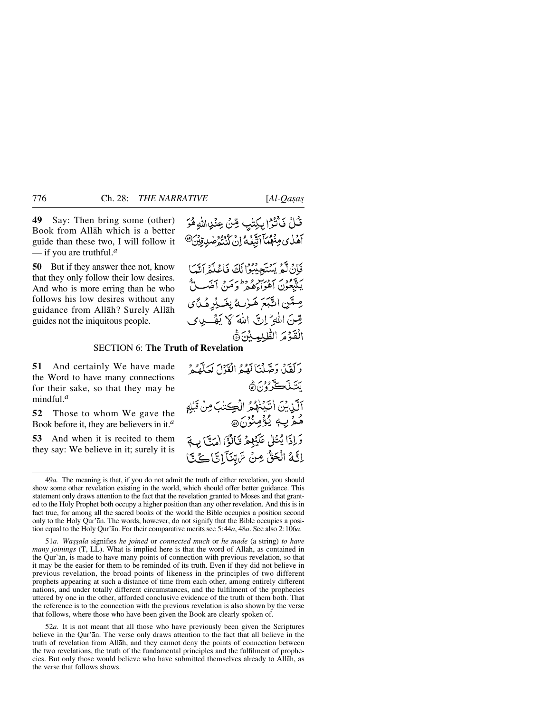**49** Say: Then bring some (other) Book from Allåh which is a better guide than these two, I will follow it — if you are truthful.*<sup>a</sup>*

**50** But if they answer thee not, know that they only follow their low desires. And who is more erring than he who follows his low desires without any guidance from Allåh? Surely Allåh guides not the iniquitous people.

قُلْ فَأَنْثَرُا بِكِتْبٍ مِّنْ عِنْدِاللَّهِ هُرَ أَهْلِي مِنْهُمْكَآ أَتَّبَعُهُ إِنْ كُنْتُوْضِي قِيْنَ<sup>@</sup>

فَإِنْ لَمْ يَسْتَجِيبُوْا لَكَ فَاعْلَهُ أَنَّبَا سيُعِدِينِ أَهْوَاءِهُ وَطَءِ مَنْ أَضَبِ لَّ صِتَينِ اتَّبَعَ هَـٰدٰنِ مُشْهِبْهِ هُـٰدًى صِّنَ اللَّهِ ۖ إِنَّ اللَّهَ كَمْ يَقْبِ وِي الْقَوْمَ الطّْلِمِينِنَ۞

## SECTION 6: **The Truth of Revelation**

**51** And certainly We have made the Word to have many connections for their sake, so that they may be mindful.*<sup>a</sup>*

**52** Those to whom We gave the Book before it, they are believers in it.*<sup>a</sup>*

**53** And when it is recited to them they say: We believe in it; surely it is

وَلَقَلْ وَصَّلْنَا لَهُمُ الْقَوْلَ لَعَلَّهُمْ يئ ڪَ <sup>و</sup>ديھُ آلَّنِيِّينَ اٰتَيْنَهُمُّ الْكِتَابَ مِنْ قَبْلِهِ هُمۡ بِ4ٖ يُؤۡمِنُوۡنَ۞ وَإِذَا يُتَلَىٰ عَلَيْهِمْ قَالَوْٓا اٰمَنَّ) بِ إِنَّهُ الْحَقُّ مِنْ تَرَّبَّنَآ إِنَّا كُے بَّا

51*a. Wa©©ala* signifies *he joined* or *connected much* or *he made* (a string) *to have many joinings* (T, LL). What is implied here is that the word of Allåh, as contained in the Qur'ån, is made to have many points of connection with previous revelation, so that it may be the easier for them to be reminded of its truth. Even if they did not believe in previous revelation, the broad points of likeness in the principles of two different prophets appearing at such a distance of time from each other, among entirely different nations, and under totally different circumstances, and the fulfilment of the prophecies uttered by one in the other, afforded conclusive evidence of the truth of them both. That the reference is to the connection with the previous revelation is also shown by the verse that follows, where those who have been given the Book are clearly spoken of.

52*a.* It is not meant that all those who have previously been given the Scriptures believe in the Qur'ån. The verse only draws attention to the fact that all believe in the truth of revelation from Allåh, and they cannot deny the points of connection between the two revelations, the truth of the fundamental principles and the fulfilment of prophecies. But only those would believe who have submitted themselves already to Allåh, as the verse that follows shows.

<sup>49</sup>*a.* The meaning is that, if you do not admit the truth of either revelation, you should show some other revelation existing in the world, which should offer better guidance. This statement only draws attention to the fact that the revelation granted to Moses and that granted to the Holy Prophet both occupy a higher position than any other revelation. And this is in fact true, for among all the sacred books of the world the Bible occupies a position second only to the Holy Qur'ån. The words, however, do not signify that the Bible occupies a position equal to the Holy Qur'ån. For their comparative merits see 5:44*a*, 48*a*. See also 2:106*a*.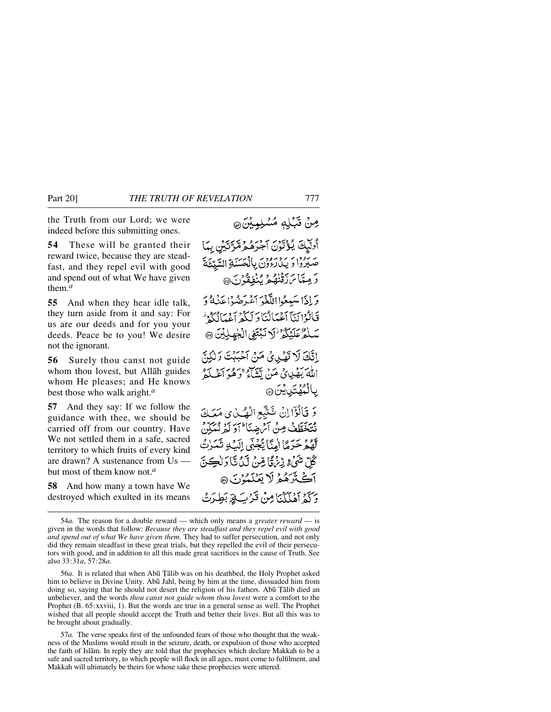the Truth from our Lord; we were indeed before this submitting ones.

**54** These will be granted their reward twice, because they are steadfast, and they repel evil with good and spend out of what We have given them.*<sup>a</sup>*

**55** And when they hear idle talk, they turn aside from it and say: For us are our deeds and for you your deeds. Peace be to you! We desire not the ignorant.

**56** Surely thou canst not guide whom thou lovest, but Allåh guides whom He pleases; and He knows best those who walk aright.*<sup>a</sup>*

**57** And they say: If we follow the guidance with thee, we should be carried off from our country. Have We not settled them in a safe, sacred territory to which fruits of every kind are drawn? A sustenance from Us but most of them know not.*<sup>a</sup>*

**58** And how many a town have We destroyed which exulted in its means

أُولِّيْكَ يُؤْتَوْنَ آجْرَهُ مِمَّرَّتَيْنِ بِمَا صَبَّرُوْا وَ يَدْرَءُوْنَ بِالْمُحَسَّنَةِ السَّدِّعَةَ دَ مِيتَاسَ دَقْنُهُمْ يُنْفِقُونَ@ دَ إِذَا يَسْهِعُوا اللَّغْوَ آَءُ بِهِ مِنْهُ أَعْنَهُ دَ فَالْوْالِيَّآ آَءُمَانُنَا دَ لَيْكُمْ أَعْمَالُكُمْ ۚ سَلْمُ عَلَيْكُمْ ٰلَا نَبۡتَغِيِ الۡجٰهِلِيۡنَ ۞ اتَّكَ لَا تَقْبِيهِيَّ مَنْ أَخْيَنْتَ وَلَٰكِنَّ اللهَ بَهْدِيهِي مَنْ يَتَتَبَاءُ وَهُوَ أَعْبَدُهُ ۣڽٳڹٞؠٛۿؾؘڽٳؿڽؘۨۿ وَ قَالُؤَاإِنْ شَتَّبَعِ الْهُيَيْنِي مَعَكَ نْتَخَطَّفْ مِنْ آيْرِهِ بِبَأْ أَوَ لَهُ نُبَكِّنْ لَّهُمْ حَرَمًا اٰمِنَّا يَّجْبَى اِلَيۡهِ تَمَرٰتُ ُكُلِّ شَيْءٍ رِّيْرُوَّا مِّنْ لَيْ تَا َوْلَڪِنَّ أَكَتْزَهُمْ لَا يَعْلَمُوْنَ @ وَكَمْ آَهُلَكْنَا مِنْ قَرْبَ لَهِ بَطِّرَتْ

56*a*. It is related that when Abū Țālib was on his deathbed, the Holy Prophet asked him to believe in Divine Unity. Abū Jahl, being by him at the time, dissuaded him from doing so, saying that he should not desert the religion of his fathers. Abū Țālib died an unbeliever, and the words *thou canst not guide whom thou lovest* were a comfort to the Prophet (B. 65:xxviii, 1). But the words are true in a general sense as well. The Prophet wished that all people should accept the Truth and better their lives. But all this was to be brought about gradually.

57*a.* The verse speaks first of the unfounded fears of those who thought that the weakness of the Muslims would result in the seizure, death, or expulsion of those who accepted the faith of Islåm. In reply they are told that the prophecies which declare Makkah to be a safe and sacred territory, to which people will flock in all ages, must come to fulfilment, and Makkah will ultimately be theirs for whose sake these prophecies were uttered.

مِنْ قَبْلِهِ مُسْلِمِبْنَ ۞

<sup>54</sup>*a.* The reason for a double reward — which only means a *greater reward* — is given in the words that follow: *Because they are steadfast and they repel evil with good and spend out of what We have given them*. They had to suffer persecution, and not only did they remain steadfast in these great trials, but they repelled the evil of their persecutors with good, and in addition to all this made great sacrifices in the cause of Truth. See also 33:31*a*, 57:28*a*.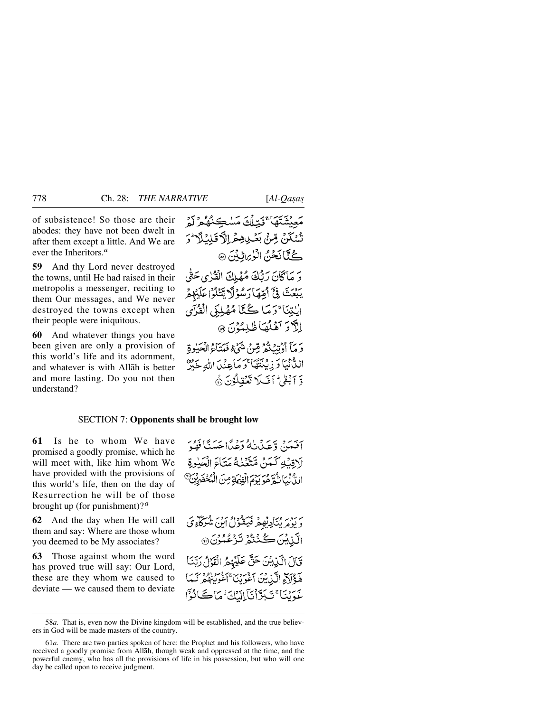of subsistence! So those are their abodes: they have not been dwelt in after them except a little. And We are ever the Inheritors.*<sup>a</sup>*

**59** And thy Lord never destroyed the towns, until He had raised in their metropolis a messenger, reciting to them Our messages, and We never destroyed the towns except when their people were iniquitous.

**60** And whatever things you have been given are only a provision of this world's life and its adornment, and whatever is with Allåh is better and more lasting. Do you not then understand?

مَعِيشَتَهَا ۚ ذَيۡلَكَ مَسْڪِنُهُمُ ۚ لَمۡ َشْنَكَنْ مِّنْ بَعْبِ هِمْ اِلاَّ قَلِيْلَا ۖ زَ گُنَّانَحْنُ الْزِيِّنِيْنَ ۞ دَ مَاكَانَ رَتَّكَ مُهْلِكَ الْقُرْيِ حَثَّى يَبْعَثَ فِيٍّ أَمِّيْهَا رَسُولَا يَتَنْلُوْا عَلَيْهِمْ الِبِتِنَا ۚ وَ مَا ڪُٽَا مُهۡلِكِيِ الۡقُرۡنِيِّ الآدَ آهَلُهَا ظَلِمُهُنَّ هِ، دَ مَآ أُدۡنَتۡ مُّوۡ مِّينَ شَيۡ ۡءَ فَيَتَنَاءُ الۡجَبَٰوِةِ اللَّٰ نَيَا وَ زِيْنَتَهُاَ ۚ وَ مَاعِنُدَ اللَّهِ خَيْرٌ وَّ آبُقْيٌّ أَفَىلا تَعْقِلُوْنَ ِيُّ

### SECTION 7: **Opponents shall be brought low**

**61** Is he to whom We have promised a goodly promise, which he will meet with, like him whom We have provided with the provisions of this world's life, then on the day of Resurrection he will be of those brought up (for punishment)?*<sup>a</sup>*

**62** And the day when He will call them and say: Where are those whom you deemed to be My associates?

**63** Those against whom the word has proved true will say: Our Lord, these are they whom we caused to deviate — we caused them to deviate

آفَعَنَ وَعَدَنْ الْمُؤْتِرَةُ اَحْسَنًا فَهْبَهَ لَاقِيْهِ كَمَنْ مَّتَّقَّنْهُ مَتَاءَ الْجَاوِةِ الِّذَّيْبَانِكُمْ هُوَ بِدَمَ الْقِيْهَةِ مِنَ الْمُحْضَرِيْنَ ۗ

بَرْ رَدِّيَهُ مِنْ كَيْݣُولُو مِنْ مَنْ يَحْدَثُونَ مِنْ مَنْ يَجْرَكْنَاءِيّ الَّذِينَ كُنْنُوْ تَزْعُدُنَ ۞ قَالَ الَّذِيْنَ حَقَّ عَلَيْهِمُ الْقَدْلُ رَتَّنَا هَ ذَاكِرٍ الَّذِينَ آغُونَنَا أَغُونَهُمْ كَسَأَ ۼؘؠٙڹٵٴؾػڗٞٲڹؘٲڸڷێػ؋؆ڪٲؽؙٵ

<sup>58</sup>*a.* That is, even now the Divine kingdom will be established, and the true believers in God will be made masters of the country.

<sup>61</sup>*a.* There are two parties spoken of here: the Prophet and his followers, who have received a goodly promise from Allåh, though weak and oppressed at the time, and the powerful enemy, who has all the provisions of life in his possession, but who will one day be called upon to receive judgment.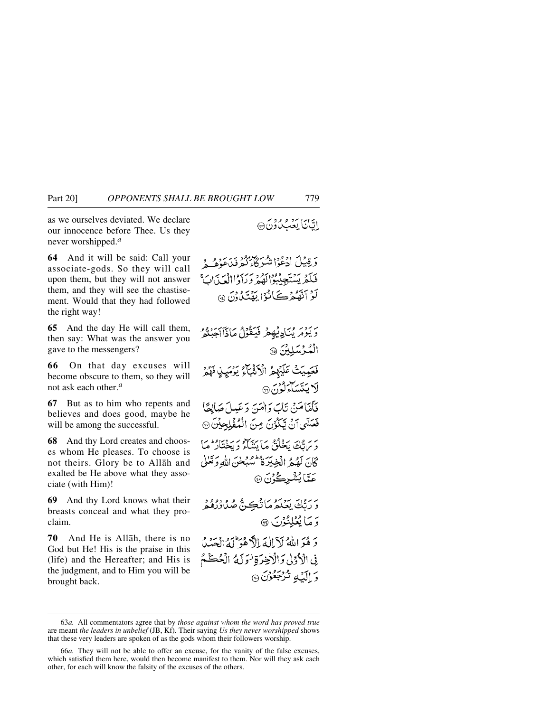as we ourselves deviated. We declare our innocence before Thee. Us they never worshipped.*<sup>a</sup>*

**64** And it will be said: Call your associate-gods. So they will call upon them, but they will not answer them, and they will see the chastisement. Would that they had followed the right way!

**65** And the day He will call them, then say: What was the answer you gave to the messengers?

**66** On that day excuses will become obscure to them, so they will not ask each other.*<sup>a</sup>*

**67** But as to him who repents and believes and does good, maybe he will be among the successful.

**68** And thy Lord creates and chooses whom He pleases. To choose is not theirs. Glory be to Allåh and exalted be He above what they associate (with Him)!

**69** And thy Lord knows what their breasts conceal and what they proclaim.

**70** And He is Allåh, there is no God but He! His is the praise in this (life) and the Hereafter; and His is the judgment, and to Him you will be brought back.

اتَانَا بَعْثَ دُنْ

وَ قِيلَ ادْعُوْا شَرْكَابِكُمْ فَيْدَعَهُ مِي مِ فَلَمْ يَسْتَجِيبُوْالَّهُمْ وَيَأْدُاالْعَيْذَابَ لَوْ اَتَّهْكُمْ كَانْوُا بِهْتَكُونَ ۞

يَرْدِيرُ بِمَنَادِيْهِعْرِ فَيَكْثُرُ كَانَ أَجِينُوْ الْمُكْسِكِيْنَ ۞ فَعَيْدِيَتْ عَلَيْهِمْ الْأَثْبَاءُ يَوْمَيِنِ فَهُمْ لَا يَتَسَاءَلُوْنَ® فَأَمَّاعَيْنَ نَابَ وَأَمَيَ وَعَيْداً صَلَاحًا فَعَنَّنِي آنٌ تَكَوُّنَ مِنَ الْمُفْلِحِيْنَ ۞ يرس كانج يحفلُقُ مَا بِيَنْتَاءُ دِيجَةَ ادْمَا كَانَ لَهُمُ الْخِيرَةُ تُسْبَحْنَ اللَّهِ وَتَعْلَىٰ عَ**ِّي**ًا يُشْرِڪُرُنَ ۞ دَ رَبُّكَ بَعْلَهُ مَا نُڪِ ٿُم صُدُورُهُ هُ وَ مَا بُعْلِنُوْنَ ۞ وَهُوَ اللَّهُ لَاَ إِلَٰهَ إِلاَّ هُوَ لَهُ الْحَدُّلُ ِفِي الْأَدْدِلِي وَالْأَخِيرَةِ نُوَلِّهُ الْخُكَمُ وَ الْكِبُهِ تُرْجَعُوْنَ ۞

<sup>63</sup>*a.* All commentators agree that by *those against whom the word has proved true* are meant *the leaders in unbelief* (JB, Kf). Their saying *Us they never worshipped* shows that these very leaders are spoken of as the gods whom their followers worship.

<sup>66</sup>*a.* They will not be able to offer an excuse, for the vanity of the false excuses, which satisfied them here, would then become manifest to them. Nor will they ask each other, for each will know the falsity of the excuses of the others.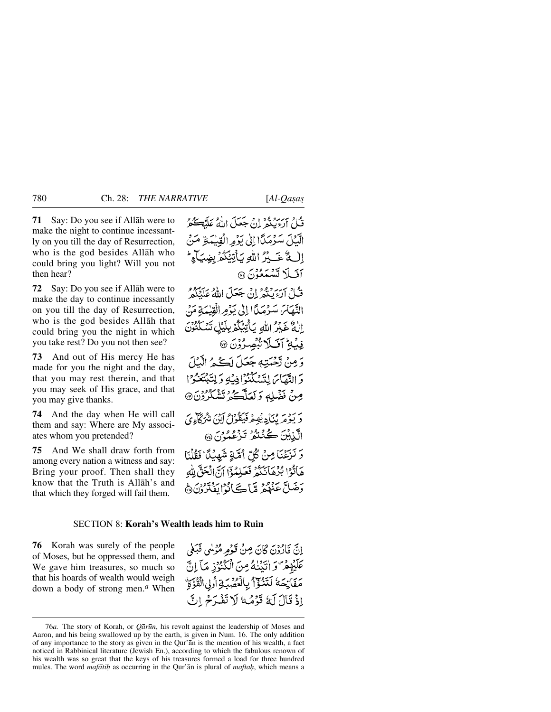**71** Say: Do you see if Allåh were to make the night to continue incessantly on you till the day of Resurrection, who is the god besides Allåh who could bring you light? Will you not then hear?

**72** Say: Do you see if Allåh were to make the day to continue incessantly on you till the day of Resurrection, who is the god besides Allåh that could bring you the night in which you take rest? Do you not then see?

**73** And out of His mercy He has made for you the night and the day, that you may rest therein, and that you may seek of His grace, and that you may give thanks.

**74** And the day when He will call them and say: Where are My associates whom you pretended?

**75** And We shall draw forth from among every nation a witness and say: Bring your proof. Then shall they know that the Truth is Allåh's and that which they forged will fail them.

قُبِلْ ارْدِينْهِ إِنْ جَعَلَ اللَّهُ عَلَيْهِ كُمْ الَّذِيْلَ سَنُرْمَدًا إِلَىٰ يَذْمِرِ الْقِيْمَةِ مَنْ إِلَٰ مَّا عَبِيْرُ اللَّهِ يَأْتِئِكُمْ بِضِيَآءٍ لَمْ أفَيلاً تَسْتَعُوْنَ ۞ قُبِلْ أَرْءَ بِدَوْمٍ إِنْ جَعَلَ اللَّهُ عَلَيْكُمْ النَّهَامَ سَرْمَدًا إِلَىٰ يَوْمِرِ الْقِيْمَةِ مَنْ اللَّهُ غَيْرُ اللَّهِ بَأَتِيْكُمْ بِلَيْلِ تَسْكُنُوْنَ فِيۡهِ ۚ أَفَىلَا تَّبِصِرُوۡنَ ۞ دَمِنْ تَحْدَيْبُهِ جَعَلَ لَڪُمُ الْبَيْيَ وَ النَّهَاسَ لِتَسْكُنُوۡٓ اٰ فِيۡةِ وَلِتَّبۡتَغُوۡ ۚ ا صِنْ نَضْلِهِ وَلَعَلَّكُمْ تَشْكُرُوْنَ۞ بَرِ دِينِ مِنْآدِ يُهِيمُ فَيَقُوْلُ آيِنَ مِيْرِكَآءِيَ الَّذِيْنَ كُنْتُمْرُ تَزْعُمُوْنَ ۞ وَ نَزْعَنَا مِنْ كُلِّ أُمَّةٍ شَهْدُلًا فَقُلْنَا هَاتُوْا بُرُهَانَكُمْ فَعَلِمُوْٓا آنَّ الْحَقَّ لِلَّهِ وَضَلَّ عَنْهُمْ مِّا كَانُوا يَفْتَرُوْنَ هَ

#### SECTION 8: **Korah's Wealth leads him to Ruin**

**76** Korah was surely of the people of Moses, but he oppressed them, and We gave him treasures, so much so that his hoards of wealth would weigh down a body of strong men.*<sup>a</sup>* When

اِنَّ قَالُّهُنَّ كَانَ مِنْ قَوْمِهِ مُؤْسِي فَبَغَى عَلَيْهِمْ وَ اتَّبَيْنَهُ مِنَ الْكُنْوُزِ مَآ إِنَّ مَفَاتِحَهُ لَتَنْزُلُ بِالْمُصَبِّةِ أُولِي الْقُرَّةِ إِذْ قَالَ لَهُ قَوْمُهُ لَا تَفْرَحُ إِنَّ

<sup>76</sup>*a.* The story of Korah, or *Qår∂n*, his revolt against the leadership of Moses and Aaron, and his being swallowed up by the earth, is given in Num. 16. The only addition of any importance to the story as given in the Qur'ån is the mention of his wealth, a fact noticed in Rabbinical literature (Jewish En.), according to which the fabulous renown of his wealth was so great that the keys of his treasures formed a load for three hundred mules. The word *mafātih* as occurring in the Qur'ān is plural of *maftah*, which means a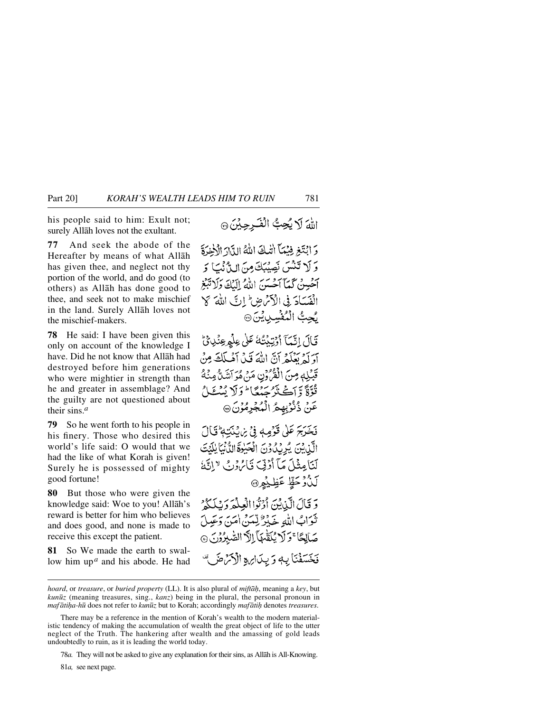his people said to him: Exult not; surely Allåh loves not the exultant.

**77** And seek the abode of the Hereafter by means of what Allåh has given thee, and neglect not thy portion of the world, and do good (to others) as Allåh has done good to thee, and seek not to make mischief in the land. Surely Allåh loves not the mischief-makers.

**78** He said: I have been given this only on account of the knowledge I have. Did he not know that Allåh had destroyed before him generations who were mightier in strength than he and greater in assemblage? And the guilty are not questioned about their sins.*<sup>a</sup>*

**79** So he went forth to his people in his finery. Those who desired this world's life said: O would that we had the like of what Korah is given! Surely he is possessed of mighty good fortune!

**80** But those who were given the knowledge said: Woe to you! Allåh's reward is better for him who believes and does good, and none is made to receive this except the patient.

**81** So We made the earth to swallow him up*<sup>a</sup>* and his abode. He had

# اللهَ لَا يُحِبُّ الْفَرِحِيْنَ ۞

وَابْتَغِ فِيْمَآ اللَّهُ اللَّهُ الدَّارَ الْأَخِرَةَ وَلَا تَنْسَ نَصِيْبَكَ مِنَ الدَّنْتَ وَ آخْسِنْ كَمَآ آَخْسَنَ اللَّهُ إِلَيْكَ وَلَا تَبَعْ الْفَسَادَ فِي الْأَمْرِضِ ۚ إِنَّ اللَّهَ كَلَّ يُحِبُّ الْمُفْسِدِينِينَ۞

قَالَ إِنَّيْكَ أَوْتِيْتُهُ عَلَى عِلْمِ عِنْدِائِ آوَ كَمْ يَعْلَمْ أَنَّ اللَّهَ قَبْيَ أَهْبِلَكَ مِنْ قَبْلِهٖ مِنَ الْفُرُونِ مَنْ هُوَ آشَنُّ مِنْهُ ثُوَّةً وَّ أَڪْنَزُ جَهُ گَا ۖ وَلَا يُسْتَحَ عَنْ ذُنُوْبِهِمُ الْمُجْرِمُوْنَ ۞

فَخَرَجَ عَلَىٰ قَوْمِهِ فِي بِرَبْنَتِهِ ۚ فَيَالَ الَّيْنِيْنَ يُرِيْدُوْنَ الْجَنِوَةَ الدُّنْيَا لِلْدَّتَ لَنَامِثُلَ مَآ أَرُّنِيٓ تَالِّهُ دُنَّ لَا اتَّةَ لَلْأَوْخَظٍّ عَظِيْمِنَ

وَ قَالَ الَّيْايُنَ أَوْثَوَا الْعِلْمَهَ وَسَلَيْكُمْ تنوابُ اللهِ جَبْرُ لِيَبِينُ امَن دَبِّ صَالِحًا ۚ وَلَا يُكَقَّهَآ اللَّهَ الصَّبِرُوْنَ فَخَسَفْنَا بِهِ وَ بِدَارِهِ الْأَكْرَاضَ

*hoard*, or *treasure*, or *buried property* (LL). It is also plural of *miftāh*, meaning a *key*, but *kun∂z* (meaning treasures, sing., *kanz*) being in the plural, the personal pronoun in *maf ātiḥa-hū* does not refer to *kunūz* but to Korah; accordingly *mafātiḥ* denotes *treasures*.

There may be a reference in the mention of Korah's wealth to the modern materialistic tendency of making the accumulation of wealth the great object of life to the utter neglect of the Truth. The hankering after wealth and the amassing of gold leads undoubtedly to ruin, as it is leading the world today.

<sup>78</sup>*a.* They will not be asked to give any explanation for their sins, as Allåh is All-Knowing.

<sup>81</sup>*a,* see next page.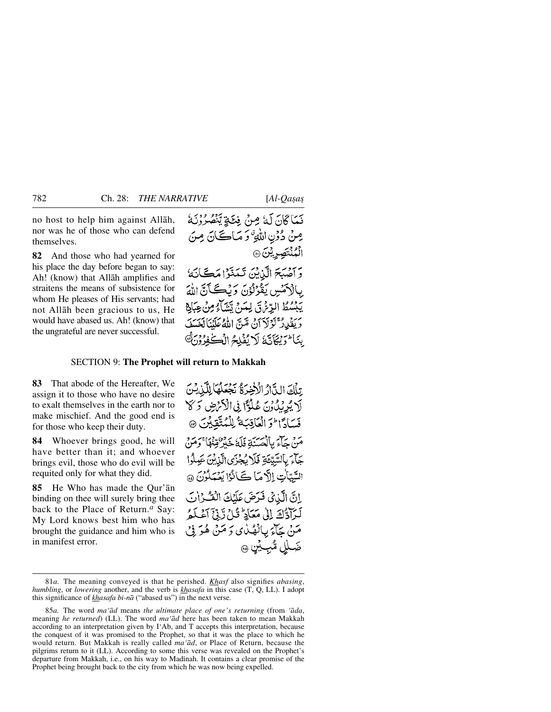no host to help him against Allåh, nor was he of those who can defend themselves.

**82** And those who had yearned for his place the day before began to say: Ah! (know) that Allåh amplifies and straitens the means of subsistence for whom He pleases of His servants; had not Allåh been gracious to us, He would have abased us. Ah! (know) that the ungrateful are never successful.

### SECTION 9: **The Prophet will return to Makkah**

**83** That abode of the Hereafter, We assign it to those who have no desire to exalt themselves in the earth nor to make mischief. And the good end is for those who keep their duty.

**84** Whoever brings good, he will have better than it; and whoever brings evil, those who do evil will be requited only for what they did.

**85** He Who has made the Qur'ån binding on thee will surely bring thee back to the Place of Return.*<sup>a</sup>* Say: My Lord knows best him who has brought the guidance and him who is in manifest error.

تِلْكَ الدَّارُ الْأَخِيرَةُ نَجْعَلُهَا لِلَّذِيْنَ لَا يُرِيْدُونَ عُلُوًّا فِى الْأَنْهَضِ وَلَا فَسَادًا فَرَ الْعَاقِبَةُ لِلْمُتَّقِينَ ۞ مَنْ حَاءَ بِالْحَسَنَةِ فَلَهَٰ جَهُوْ مُبْنَا وَمَنْ جَآءَ بِالسَّبِّئَةِ فَلَا يُجْزَى الَّذِيْنَ عَمِلُوا السَّيِّاتِ إِلَّا مَا كَانُوْا يَعْمَلُوْنَ ۞ انَّ الَّذِيْ فَدَضَ عَلَيْكَ الْفَسْرُاتِ لَرَآدُكَ إِلَىٰ مَعَالِهِ ۚ قُلْ رَّبِّي أَعْلَمُ مَنْ جَآءَ بِبِالْهُدْيِ دَ مَنْ هُوَ فِيْ ضَلْلِ مُّبِ£ِّنٍ ۞

<sup>81</sup>*a.* The meaning conveyed is that he perished. *Khasf* also signifies *abasing*, *humbling*, or *lowering* another, and the verb is *khasafa* in this case (T, Q, LL). I adopt this significance of *khasafa bi-nå* ("abased us") in the next verse.

<sup>85</sup>*a.* The word *ma'åd* means *the ultimate place of one's returning* (from *'åda*, meaning *he returned*) (LL). The word *ma'åd* here has been taken to mean Makkah according to an interpretation given by I'Ab, and T accepts this interpretation, because the conquest of it was promised to the Prophet, so that it was the place to which he would return. But Makkah is really called *ma'åd*, or Place of Return, because the pilgrims return to it (LL). According to some this verse was revealed on the Prophet's departure from Makkah, i.e., on his way to Madinah. It contains a clear promise of the Prophet being brought back to the city from which he was now being expelled.